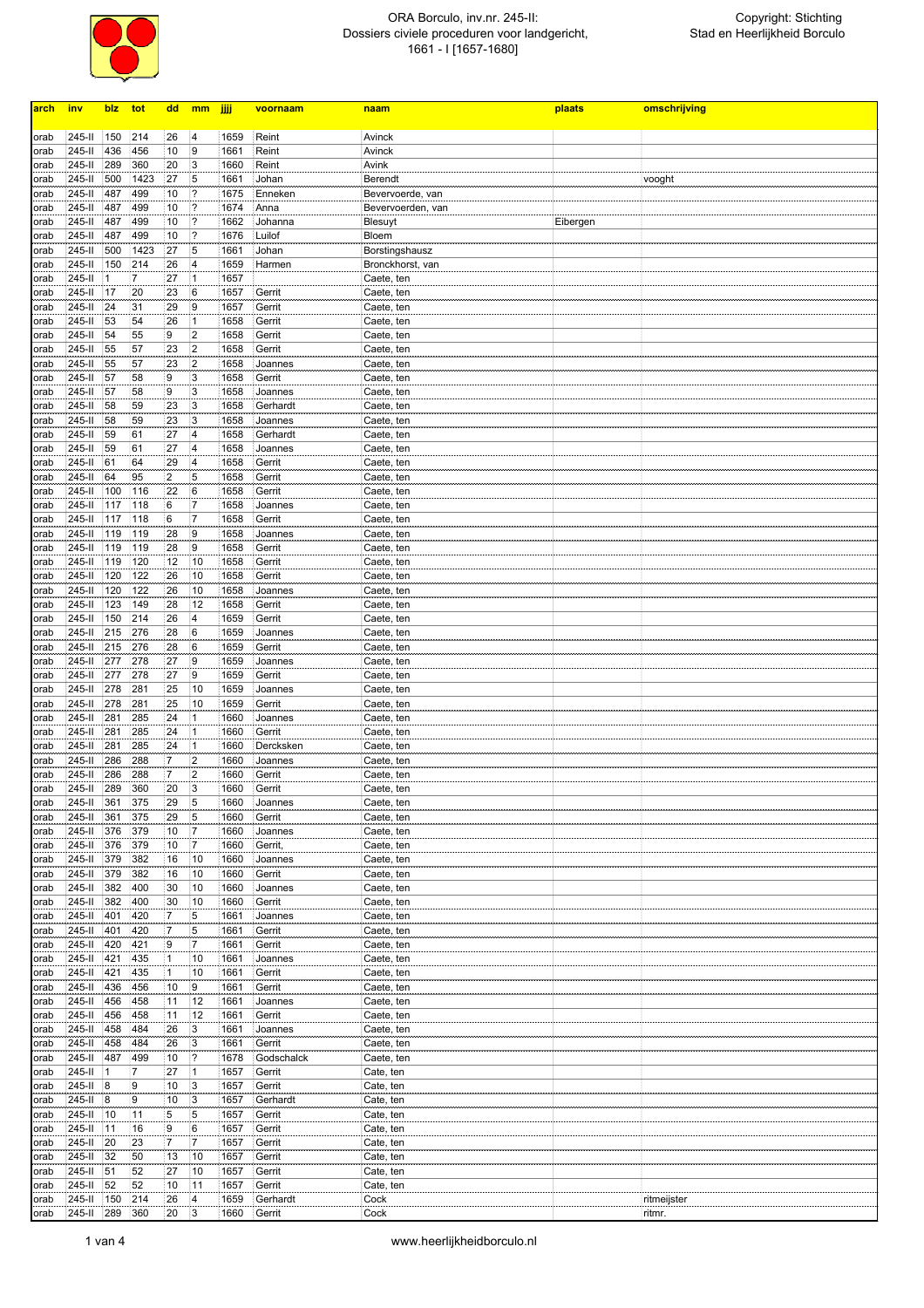

## ORA Borculo, inv.nr. 245-II: Dossiers civiele proceduren voor landgericht, 1661 - I [1657-1680]

| arch         | <u>inv</u>           | <u>blz</u> | tot        | <u>dd</u>            | mm                      | jjjj         | voornaam           | naam                     | plaats   | omschrijving          |
|--------------|----------------------|------------|------------|----------------------|-------------------------|--------------|--------------------|--------------------------|----------|-----------------------|
|              |                      |            |            |                      |                         |              |                    |                          |          |                       |
| orab         | 245-II               | 150        | 214        | 26                   | 4                       | 1659         | Reint              | Avinck                   |          |                       |
| orab         | 245-II               | 436        | 456        | 10                   | 9                       | 1661         | Reint              | Avinck                   |          |                       |
| orab         | 245-II               | 289        | 360        | 20                   | 3                       | 1660         | Reint              | Avink                    |          |                       |
| orab         | 245-II               | 500        | 1423       | 27                   | 5                       | 1661         | Johan              | <b>Berendt</b>           |          | vooght                |
| orab         | 245-II               | 487        | 499        | 10                   | 2                       | 1675         | Enneken            | Bevervoerde, van         |          |                       |
| orab         | 245-II               | 487        | 499        | 10                   | 2<br>?                  | 1674         | Anna               | Bevervoerden, van        |          |                       |
| orab         | 245-II<br>245-II     | 487<br>487 | 499<br>499 | 10<br>10             |                         | 1662<br>1676 | Johanna<br>Luilof  | Blesuyt                  | Eibergen |                       |
| orab<br>orab | 245-II               | 500        | 1423       | 27                   | 5                       | 1661         | Johan              | Bloem<br>Borstingshausz  |          |                       |
| orab         | 245-II               | 150        | 214        | 26                   | 4                       | 1659         | Harmen             | Bronckhorst, van         |          |                       |
| orab         | 245-II               |            | 7          | 27                   |                         | 1657         |                    | Caete, ten               |          |                       |
| orab         | 245-II               | 17         | 20         | 23                   | 16                      | 1657         | Gerrit             | Caete, ten               |          |                       |
| orab         | 245-II               | 24         | 31         | 29                   | 9                       | 1657         | Gerrit             | Caete, ten               |          |                       |
| orab         | 245-II               | 53         | 54         | 26                   | 1                       | 1658         | Gerrit             | Caete, ten               |          |                       |
| orab         | 245-II               | 54         | 55         | 9                    | $\overline{2}$          | 1658         | Gerrit             | Caete, ten               |          |                       |
| orab         | 245-II               | 55         | 57         | 23                   | 2                       | 1658         | Gerrit             | Caete, ten               |          |                       |
| orab         | 245-II               | 55         | 57         | 23                   | $\overline{2}$          | 1658         | Joannes            | Caete, ten               |          |                       |
| orab         | 245-II               | 57         | 58         | 9                    | 3                       | 1658         | Gerrit             | Caete, ten               |          |                       |
| orab         | 245-II               | 57         | 58         | 9                    | 3                       | 1658         | Joannes            | Caete, ten               |          |                       |
| orab         | 245-II               | 58         | 59         | 23                   | 3                       | 1658         | Gerhardt           | Caete, ten               |          |                       |
| orab         | 245-II               | 58         | 59         | 23                   | 3                       | 1658         | Joannes            | Caete, ten               |          |                       |
| orab         | 245-II               | 59         | 61         | 27                   | 14                      | 1658         | Gerhardt           | Caete, ten               |          |                       |
| orab         | 245-II               | 59         | 61         | 27                   | 4<br>4                  | 1658         | Joannes            | Caete, ten               |          |                       |
| orab         | 245-II<br>245-II     | 61<br>64   | 64<br>95   | 29<br>$\overline{c}$ | 5                       | 1658<br>1658 | Gerrit<br>Gerrit   | Caete, ten<br>Caete, ten |          |                       |
| orab<br>orab | 245-II               | 100        | 116        | 22                   | 16                      | 1658         | Gerrit             | Caete, ten               |          |                       |
| orab         | 245-II               | 117        | 118        | 6                    |                         | 1658         | Joannes            | Caete, ten               |          |                       |
| orab         | 245-II               | 117        | 118        | 6                    | 7                       | 1658         | Gerrit             | Caete, ten               |          |                       |
| orab         | 245-II               | 119        | 119        | 28                   | 19                      | 1658         | Joannes            | Caete, ten               |          |                       |
| orab         | 245-II               | 119        | 119        | 28                   | 9                       | 1658         | Gerrit             | Caete, ten               |          |                       |
| orab         | 245-II               | 119        | 120        | 12                   | 10                      | 1658         | Gerrit             | Caete, ten               |          |                       |
| orab         | 245-II               | 120        | 122        | 26                   | 10                      | 1658         | Gerrit             | Caete, ten               |          |                       |
| orab         | 245-II               | 120        | 122        | 26                   | 10                      | 1658         | Joannes            | Caete, ten               |          |                       |
| orab         | 245-II               | 123        | 149        | 28                   | 12                      | 1658         | Gerrit             | Caete, ten               |          |                       |
| orab         | 245-II               | 150        | 214        | 26                   | $\overline{\mathbf{4}}$ | 1659         | Gerrit             | Caete, ten               |          |                       |
| orab         | 245-II               | 215        | 276        | 28                   | 6                       | 1659         | Joannes            | Caete, ten               |          |                       |
| orab         | 245-II               | 215        | 276        | 28                   | 16                      | 1659         | Gerrit             | Caete, ten               |          |                       |
| orab         | 245-II               | 277        | 278        | 27                   | 9                       | 1659         | Joannes            | Caete, ten               |          |                       |
| orab         | 245-II               | 277        | 278        | 27                   | 19                      | 1659         | Gerrit             | Caete, ten               |          |                       |
| orab         | 245-II               | 278        | 281        | 25                   | 10                      | 1659         | Joannes            | Caete, ten               |          |                       |
| orab         | 245-II               | 278        | 281        | 25                   | 10                      | 1659         | Gerrit             | Caete, ten               |          |                       |
| orab         | 245-II<br>245-II     | 281<br>281 | 285<br>285 | 24<br>24             | 1                       | 1660<br>1660 | Joannes<br>Gerrit  | Caete, ten               |          |                       |
| orab<br>orab | 245-II               | 281        | 285        | 24                   | $\mathbf{1}$            | 1660         | Dercksken          | Caete, ten<br>Caete, ten |          |                       |
| orab         | 245-II               | 286        | 288        | 7                    | $\overline{2}$          | 1660         | Joannes            | Caete, ten               |          |                       |
| orab         | 245-II               | 286        | 288        | $\overline{7}$       | $\overline{2}$          | 1660         | Gerrit             | Caete, ten               |          |                       |
| orab         | 245-II               | 289        | 360        | 20                   | 3                       | 1660         | Gerrit             | Caete, ten               |          |                       |
| orab         | 245-II               | 361        | 375        | 29                   | 5                       | 1660         | Joannes            | Caete, ten               |          |                       |
| orab         | 245-II               | 361        | 375        | 29                   | 5                       | 1660         | Gerrit             | Caete, ten               |          |                       |
| orab         | 245-II               | 376        | 379        | 10                   | 17                      | 1660         | Joannes            | Caete, ten               |          |                       |
| orab         | 245-II               | 376        | 379        | 10                   | 17                      | 1660         | Gerrit,            | Caete, ten               |          |                       |
| orab         | 245-II               | 379        | 382        | 16                   | 10                      | 1660         | Joannes            | Caete, ten               |          |                       |
| orab         | 245-II               | 379        | 382        | 16                   | 10                      | 1660         | Gerrit             | Caete, ten               |          |                       |
| orab         | 245-II               | 382        | 400        | 30                   | 10                      | 1660         | Joannes            | Caete, ten               |          |                       |
| orab         | 245-II               | 382        | 400        | 30                   | 10                      | 1660         | Gerrit             | Caete, ten               |          |                       |
| orab         | 245-II               | 401        | 420        | 7                    | 5                       | 1661         | Joannes            | Caete, ten               |          |                       |
| orab         | 245-II               | 401        | 420        | 7                    | 5<br>$\overline{7}$     | 1661         | Gerrit             | Caete, ten               |          |                       |
| orab         | 245-II<br>245-II     | 420<br>421 | 421<br>435 | 9<br>$\mathbf{1}$    | 10                      | 1661<br>1661 | Gerrit<br>Joannes  | Caete, ten<br>Caete, ten |          |                       |
| orab         | 245-II               | 421        | 435        | 1                    | 10                      | 1661         | Gerrit             |                          |          |                       |
| orab<br>orab | 245-II               | 436        | 456        | 10                   | 19                      | 1661         | Gerrit             | Caete, ten<br>Caete, ten |          |                       |
| orab         | 245-II               | 456        | 458        | 11                   | 12                      | 1661         | Joannes            | Caete, ten               |          |                       |
| orab         | $245 -$              | 456        | 458        | 11                   | 12                      | 1661         | Gerrit             | Caete, ten               |          |                       |
| orab         | 245-II               | 458        | 484        | 26                   | 3                       | 1661         | Joannes            | Caete, ten               |          |                       |
| orab         | $245 -$ II           | 458        | 484        | 26                   | 3                       | 1661         | Gerrit             | Caete, ten               |          |                       |
| orab         | 245-II               | 487        | 499        | 10                   | 2                       | 1678         | Godschalck         | Caete, ten               |          |                       |
| orab         | 245-II               | 1          | 7          | 27                   |                         | 1657         | Gerrit             | Cate, ten                |          |                       |
| orab         | 245-II               | 8          | 9          | 10                   | 13                      | 1657         | Gerrit             | Cate, ten                |          |                       |
| orab         | 245-II 8             |            | 9          | 10                   | 3                       | 1657         | Gerhardt           | Cate, ten                |          |                       |
| orab         | 245-II 10            |            | 11         | 5                    | 5                       | 1657         | Gerrit             | Cate, ten                |          |                       |
| orab         | $245 - 11$           | 11         | 16         | 9                    | 6                       | 1657         | Gerrit             | Cate, ten                |          |                       |
| orab         | 245-II               | 20         | 23         | $\overline{7}$       | 7                       | 1657         | Gerrit             | Cate, ten                |          |                       |
| orab         | 245-II               | 32         | 50         | 13                   | 10                      | 1657         | Gerrit             | Cate, ten                |          |                       |
| orab         | 245-II               | 51         | 52         | 27                   | 10                      | 1657         | Gerrit             | Cate, ten                |          |                       |
| orab         | 245-II               | 52         | 52         | 10                   | 11                      | 1657         | Gerrit             | Cate, ten                |          |                       |
| orab<br>orab | 245-II<br>$245 - 11$ | 150<br>289 | 214<br>360 | 26<br>20             | 4<br>13                 | 1659<br>1660 | Gerhardt<br>Gerrit | Cock<br>Cock             |          | ritmeijster<br>ritmr. |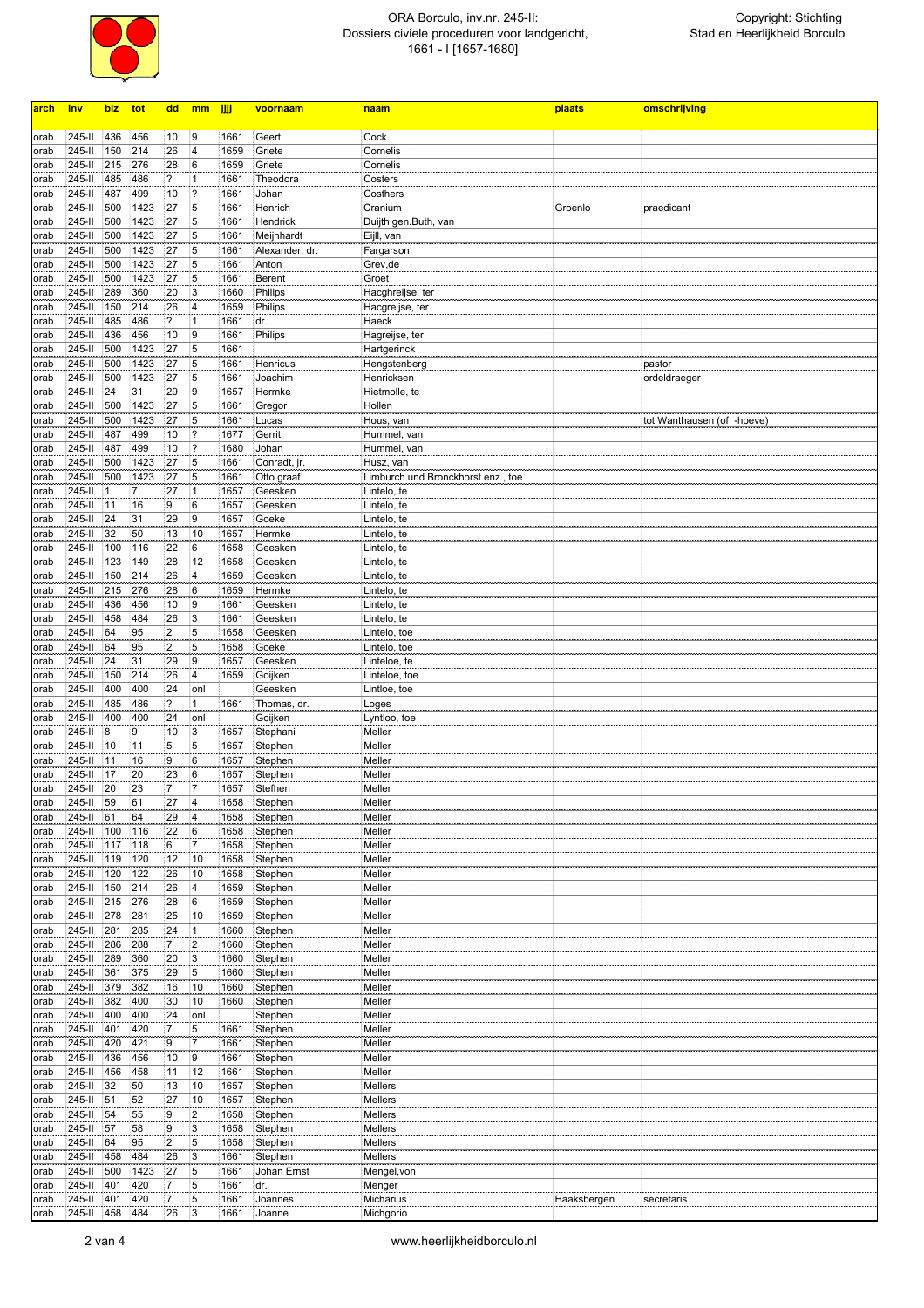

## ORA Borculo, inv.nr. 245-II: Dossiers civiele proceduren voor landgericht, 1661 - I [1657-1680]

| arch | inv              | blz      | tot            | dd                      | mm                      | jijj         | voornaam       | naam                               | plaats      | omschrijving               |
|------|------------------|----------|----------------|-------------------------|-------------------------|--------------|----------------|------------------------------------|-------------|----------------------------|
|      |                  |          |                |                         |                         |              |                |                                    |             |                            |
| orab | 245-II           | 436      | 456            | 10                      | 9                       | 1661         | Geert          | Cock                               |             |                            |
| orab | 245-II           | 150      | 214            | 26                      | 4                       | 1659         | Griete         | Cornelis                           |             |                            |
| orab | 245-II           | 215      | 276            | 28                      | 16                      | 1659         | Griete         | Cornelis                           |             |                            |
| orab | 245-II           | 485      | 486            | $\overline{?}$          | 1                       | 1661         | Theodora       | Costers                            |             |                            |
| orab | 245-II           | 487      | 499            | 10                      | 2                       | 1661         | Johan          | Costhers                           |             |                            |
| orab | 245-II           | 500      | 1423           | 27                      | 5                       | 1661         | Henrich        | Cranium                            | Groenlo     | praedicant                 |
| orab | 245-II           | 500      | 1423           | 27                      | 5                       | 1661         | Hendrick       | Duijth gen.Buth, van               |             |                            |
| orab | 245-II           | 500      | 1423           | 27                      | 5                       | 1661         | Meijnhardt     | Eijll, van                         |             |                            |
| orab | 245-II           | 500      | 1423           | 27                      | 5                       | 1661         | Alexander, dr. | Fargarson                          |             |                            |
| orab | 245-II           | 500      | 1423           | 27                      | 5                       | 1661         | Anton          | Grev,de                            |             |                            |
| orab | 245-II           | 500      | 1423           | 27                      | 5                       | 1661         | <b>Berent</b>  | Groet                              |             |                            |
| orab | 245-II           | 289      | 360            | 20                      | 3                       | 1660         | Philips        | Hacghreijse, ter                   |             |                            |
| orab | 245-II           | 150      | 214            | 26                      | $\overline{4}$          | 1659         | Philips        | Hacgreijse, ter                    |             |                            |
| orab | 245-II           | 485      | 486            | $\overline{\mathbf{?}}$ | $\mathbf{1}$            | 1661         | dr.            | Haeck                              |             |                            |
| orab | 245-II           | 436      | 456            | 10                      | 9                       | 1661         | Philips        | Hagreijse, ter                     |             |                            |
| orab | 245-II           | 500      | 1423           | 27                      | 5                       | 1661         |                | Hartgerinck                        |             |                            |
| orab | 245-II           | 500      | 1423           | 27                      | 5                       | 1661         | Henricus       | Hengstenberg                       |             | pastor                     |
| orab | 245-II           | 500      | 1423           | 27                      | 5                       | 1661         | Joachim        | Henricksen                         |             | ordeldraeger               |
| orab | 245-II           | 24       | 31             | 29                      | 9                       | 1657         | Hermke         | Hietmolle, te                      |             |                            |
| orab | 245-II           | 500      | 1423           | 27                      | 5                       | 1661         | Gregor         | Hollen                             |             |                            |
| orab | 245-II           | 500      | 1423           | 27                      | 5                       | 1661         | Lucas          | Hous, van                          |             | tot Wanthausen (of -hoeve) |
| orab | 245-II           | 487      | 499            | 10                      | 2                       | 1677         | Gerrit         | Hummel, van                        |             |                            |
| orab | 245-II           | 487      | 499            | 10                      | ?                       | 1680         | Johan          | Hummel, van                        |             |                            |
| orab | 245-II           | 500      | 1423           | 27                      | 5                       | 1661         | Conradt, jr.   | Husz, van                          |             |                            |
| orab | 245-II           | 500      | 1423           | 27                      | 5                       | 1661         | Otto graaf     | Limburch und Bronckhorst enz., toe |             |                            |
| orab | 245-II           |          | $\overline{7}$ | 27                      | 1                       | 1657         | Geesken        | Lintelo, te                        |             |                            |
| orab | 245-II           | 11       | 16             | 9                       | 16                      | 1657         | Geesken        | Lintelo, te                        |             |                            |
| orab | 245-II           | 24       | 31             | 29                      | 19                      | 1657         | Goeke          | Lintelo, te                        |             |                            |
| orab | 245-II           | 32       | 50             | 13                      | 10                      | 1657         | Hermke         | Lintelo, te                        |             |                            |
| orab | 245-II           | 100      | 116            | 22                      | 6                       | 1658         | Geesken        | Lintelo, te                        |             |                            |
| orab | 245-II           | 123      | 149            | 28                      | 12                      | 1658         | Geesken        | Lintelo, te                        |             |                            |
| orab | 245-II           | 150      | 214            | 26                      | 4                       | 1659         | Geesken        | Lintelo, te                        |             |                            |
| orab | 245-II           | 215      | 276            | 28                      | 6                       | 1659         | Hermke         | Lintelo, te                        |             |                            |
| orab | 245-II           | 436      | 456            | 10                      | İ9                      | 1661         | Geesken        | Lintelo, te                        |             |                            |
| orab | 245-II           | 458      | 484            | 26                      | 3                       | 1661         | Geesken        | Lintelo, te                        |             |                            |
| orab | 245-II           | 64       | 95             | $\overline{2}$          | 5                       | 1658         | Geesken        | Lintelo, toe                       |             |                            |
| orab | 245-II           | 64       | 95             | $\overline{2}$          | 5                       | 1658         | Goeke          | Lintelo, toe                       |             |                            |
| orab | 245-II           | 24       | 31             | 29                      | 9                       | 1657         | Geesken        | Linteloe, te                       |             |                            |
| orab | 245-II           | 150      | 214            | 26                      | $\overline{\mathbf{4}}$ | 1659         | Goijken        | Linteloe, toe                      |             |                            |
| orab | 245-II           | 400      | 400            | 24                      | onl                     |              | Geesken        | Lintloe, toe                       |             |                            |
| orab | 245-II           | 485      | 486            | $\overline{?}$          | $\mathbf{1}$            | 1661         | Thomas, dr.    | Loges                              |             |                            |
|      | 245-II           | 400      | 400            | 24                      |                         |              |                | Lyntloo, toe                       |             |                            |
| orab | 245-II           |          | 9              | 10                      | onl                     |              | Goijken        | Meller                             |             |                            |
| orab | 245-II           | 8<br>10  | 11             | 5                       | 3<br>5                  | 1657<br>1657 | Stephani       | Meller                             |             |                            |
| orab |                  |          |                |                         |                         |              | Stephen        |                                    |             |                            |
| orab | 245-II           | 11<br>17 | 16<br>20       | 9<br>23                 | 6<br>6                  | 1657         | Stephen        | Meller                             |             |                            |
| orab | 245-II<br>245-II | 20       | 23             | 7                       | 17                      | 1657         | Stephen        | Meller                             |             |                            |
| orab |                  |          |                |                         |                         | 1657         | Stefhen        | Meller                             |             |                            |
| orab | 245-II           | 59       | 61             | 27                      | 14                      | 1658         | Stephen        | Meller                             |             |                            |
| orab | 245-II           | 61       | 64             | 29                      | 4                       | 1658         | Stephen        | Meller                             |             |                            |
| orab | 245-II           | 100      | 116            | 22                      | 6                       | 1658         | Stephen        | Meller                             |             |                            |
| orab | 245-II           | 117      | 118            | 6                       | 7                       | 1658         | Stephen        | Meller                             |             |                            |
| orab | 245-II           | 119      | 120            | 12                      | 10                      | 1658         | Stephen        | Meller                             |             |                            |
| orab | 245-II           | 120      | 122            | 26                      | 10                      | 1658         | Stephen        | Meller                             |             |                            |
| orab | 245-II           | 150      | 214            | 26                      | 4                       | 1659         | Stephen        | Meller                             |             |                            |
| orab | 245-II           | 215      | 276            | 28                      | 6                       | 1659         | Stephen        | Meller                             |             |                            |
| orab | 245-II           | 278      | 281            | 25                      | 10                      | 1659         | Stephen        | Meller                             |             |                            |
| orab | 245-II           | 281      | 285            | 24                      | 1                       | 1660         | Stephen        | Meller                             |             |                            |
| orab | 245-II           | 286      | 288            | $\overline{7}$          | 2                       | 1660         | Stephen        | Meller                             |             |                            |
| orab | 245-II           | 289      | 360            | 20                      | 3                       | 1660         | Stephen        | Meller                             |             |                            |
| orab | 245-II           | 361      | 375            | 29                      | 5                       | 1660         | Stephen        | Meller                             |             |                            |
| orab | 245-II           | 379      | 382            | 16                      | 10                      | 1660         | Stephen        | Meller                             |             |                            |
| orab | 245-II           | 382      | 400            | 30                      | 10                      | 1660         | Stephen        | Meller                             |             |                            |
| orab | 245-II           | 400      | 400            | 24                      | onl                     |              | Stephen        | Meller                             |             |                            |
| orab | 245-II           | 401      | 420            | $\overline{7}$          | 5                       | 1661         | Stephen        | Meller                             |             |                            |
| orab | 245-II           | 420      | 421            | 9                       | $\overline{7}$          | 1661         | Stephen        | Meller                             |             |                            |
| orab | 245-II           | 436      | 456            | 10                      | 9                       | 1661         | Stephen        | Meller                             |             |                            |
| orab | 245-II           | 456      | 458            | 11                      | 12                      | 1661         | Stephen        | Meller                             |             |                            |
| orab | 245-II           | 32       | 50             | 13                      | 10                      | 1657         | Stephen        | Mellers                            |             |                            |
| orab | 245-II           | 51       | 52             | 27                      | 10                      | 1657         | Stephen        | Mellers                            |             |                            |
| orab | 245-II           | 54       | 55             | 9                       | $\overline{\mathbf{2}}$ | 1658         | Stephen        | Mellers                            |             |                            |
| orab | 245-II           | 57       | 58             | 9                       | 3                       | 1658         | Stephen        | Mellers                            |             |                            |
| orab | 245-II           | 64       | 95             | $\overline{2}$          | 5                       | 1658         | Stephen        | Mellers                            |             |                            |
| orab | 245-II           | 458      | 484            | 26                      | 3                       | 1661         | Stephen        | Mellers                            |             |                            |
| orab | 245-II           | 500      | 1423           | 27                      | 5                       | 1661         | Johan Ernst    | Mengel, von                        |             |                            |
| orab | 245-II           | 401      | 420            | 7                       | 5                       | 1661         | dr.            | Menger                             |             |                            |
| orab | $245 -$ II       | 401      | 420            | 7                       | 5                       | 1661         | Joannes        | Micharius                          | Haaksbergen | secretaris                 |
| orab | $245 -$          | 458      | 484            | 26                      | 3                       | 1661         | Joanne         | Michgorio                          |             |                            |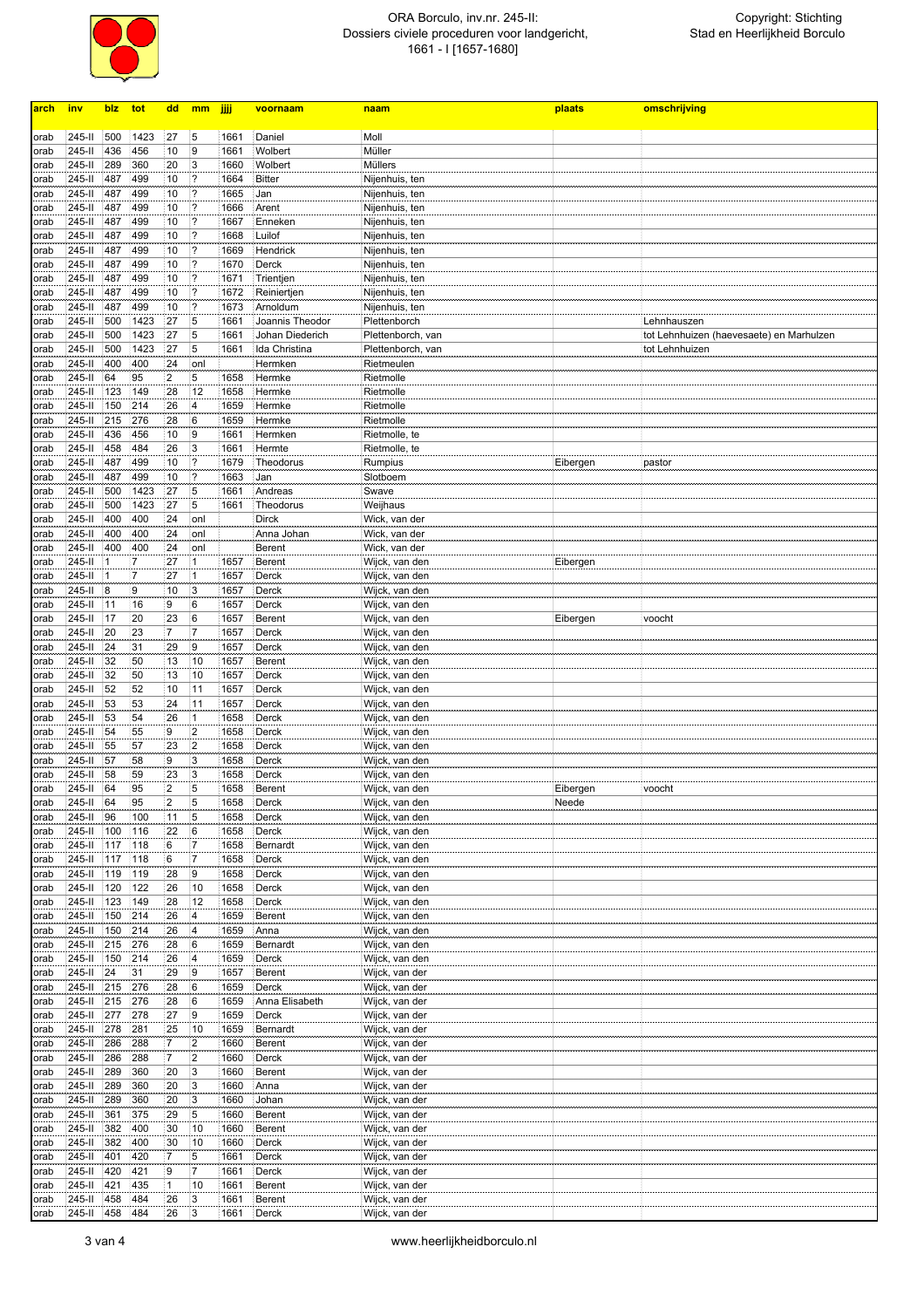

## ORA Borculo, inv.nr. 245-II: Dossiers civiele proceduren voor landgericht, 1661 - I [1657-1680]

| arch         | inv              | blz          | tot        | dd                            | mm                      | jiji         | voornaam                 | naam                             | plaats   | omschrijving                             |
|--------------|------------------|--------------|------------|-------------------------------|-------------------------|--------------|--------------------------|----------------------------------|----------|------------------------------------------|
|              |                  |              |            |                               |                         |              |                          |                                  |          |                                          |
| orab         | 245-II           | 500          | 1423       | 27                            | 15                      | 1661         | Daniel                   | Moll                             |          |                                          |
| orab         | 245-II           | 436          | 456        | 10                            | 9                       | 1661         | Wolbert                  | Müller                           |          |                                          |
| orab         | 245-II<br>245-II | 289<br>487   | 360<br>499 | 20<br>10                      | 3<br>2                  | 1660<br>1664 | Wolbert<br><b>Bitter</b> | Müllers                          |          |                                          |
| orab<br>orab | 245-II           | 487          | 499        | 10                            | 2                       | 1665         | Jan                      | Nijenhuis, ten<br>Nijenhuis, ten |          |                                          |
| orab         | 245-II           | 487          | 499        | 10                            | 2                       | 1666         | Arent                    | Nijenhuis, ten                   |          |                                          |
| orab         | 245-II           | 487          | 499        | 10                            | ?                       | 1667         | Enneken                  | Nijenhuis, ten                   |          |                                          |
| orab         | 245-II           | 487          | 499        | 10                            | 1?                      | 1668         | Luilof                   | Nijenhuis, ten                   |          |                                          |
| orab         | 245-II           | 487          | 499        | 10                            | 1?                      | 1669         | Hendrick                 | Nijenhuis, ten                   |          |                                          |
| orab         | 245-II           | 487          | 499        | 10                            | 1?                      | 1670         | Derck                    | Nijenhuis, ten                   |          |                                          |
| orab         | 245-II           | 487          | 499        | 10                            | ?                       | 1671         | Trientjen                | Nijenhuis, ten                   |          |                                          |
| orab         | 245-II           | 487          | 499        | 10                            | 2                       | 1672         | Reiniertjen              | Nijenhuis, ten                   |          |                                          |
| orab         | 245-II           | 487          | 499        | 10                            | 2                       | 1673         | Arnoldum                 | Nijenhuis, ten                   |          |                                          |
| orab         | 245-II           | 500          | 1423       | 27                            | !5                      | 1661         | Joannis Theodor          | Plettenborch                     |          | Lehnhauszen                              |
| orab         | 245-II           | 500          | 1423       | 27                            | 15                      | 1661         | Johan Diederich          | Plettenborch, van                |          | tot Lehnhuizen (haevesaete) en Marhulzen |
| orab         | 245-II           | 500          | 1423       | 27                            | 5                       | 1661         | Ida Christina            | Plettenborch, van                |          | tot Lehnhuizen                           |
| orab         | 245-II           | 400          | 400        | 24                            | onl                     |              | Hermken                  | Rietmeulen                       |          |                                          |
| orab         | 245-II<br>245-II | 64<br>123    | 95<br>149  | $\overline{\mathbf{c}}$<br>28 | 5<br>12                 | 1658<br>1658 | Hermke                   | Rietmolle<br>Rietmolle           |          |                                          |
| orab         | 245-II           | 150          | 214        | 26                            | 4                       | 1659         | Hermke<br>Hermke         | Rietmolle                        |          |                                          |
| orab<br>orab | 245-II           | 215          | 276        | 28                            | 6                       | 1659         | Hermke                   | Rietmolle                        |          |                                          |
| orab         | 245-II           | 436          | 456        | 10                            | 19                      | 1661         | Hermken                  | Rietmolle, te                    |          |                                          |
| orab         | 245-II           | 458          | 484        | 26                            | 3                       | 1661         | Hermte                   | Rietmolle, te                    |          |                                          |
| orab         | 245-II           | 487          | 499        | 10                            | 2                       | 1679         | Theodorus                | Rumpius                          | Eibergen | pastor                                   |
| orab         | 245-II           | 487          | 499        | 10                            | 1?                      | 1663         | Jan                      | Slotboem                         |          |                                          |
| orab         | 245-II           | 500          | 1423       | 27                            | 15                      | 1661         | Andreas                  | Swave                            |          |                                          |
| orab         | 245-II           | 500          | 1423       | 27                            | 15                      | 1661         | Theodorus                | Weijhaus                         |          |                                          |
| orab         | 245-II           | 400          | 400        | 24                            | onl                     |              | Dirck                    | Wick, van der                    |          |                                          |
| orab         | 245-II           | 400          | 400        | 24                            | onl                     |              | Anna Johan               | Wick, van der                    |          |                                          |
| orab         | 245-II           | 400          | 400        | 24                            | onl                     |              | <b>Berent</b>            | Wick, van der                    |          |                                          |
| orab         | 245-II           | $\mathbf{1}$ | 7          | 27                            | $\vert$ 1               | 1657         | <b>Berent</b>            | Wijck, van den                   | Eibergen |                                          |
| orab         | 245-II           | 1            | 7          | 27                            | ł1                      | 1657         | Derck                    | Wijck, van den                   |          |                                          |
| orab         | 245-II           | 8            | 9          | 10                            | 3                       | 1657         | Derck                    | Wijck, van den                   |          |                                          |
| orab         | 245-II           | 11           | 16         | 9                             | 6                       | 1657         | Derck                    | Wijck, van den                   |          |                                          |
| orab         | 245-II           | 17           | 20         | 23                            | 6                       | 1657         | <b>Berent</b>            | Wijck, van den                   | Eibergen | voocht                                   |
| orab         | 245-II           | 20           | 23         | $\overline{7}$                | 7                       | 1657         | Derck                    | Wijck, van den                   |          |                                          |
| orab         | 245-II           | 24           | 31         | 29                            | 19                      | 1657         | Derck                    | Wijck, van den                   |          |                                          |
| orab         | 245-II           | 32           | 50         | 13                            | 10                      | 1657         | <b>Berent</b>            | Wijck, van den                   |          |                                          |
| orab         | 245-II<br>245-II | 32<br>52     | 50<br>52   | 13<br>10                      | 10<br>11                | 1657<br>1657 | Derck<br>Derck           | Wijck, van den<br>Wijck, van den |          |                                          |
| orab<br>orab | 245-II           | 53           | 53         | 24                            | 11                      | 1657         | Derck                    | Wijck, van den                   |          |                                          |
| orab         | 245-II           | 53           | 54         | 26                            | 1                       | 1658         | Derck                    | Wijck, van den                   |          |                                          |
| orab         | 245-II           | 54           | 55         | 9                             | $\overline{2}$          | 1658         | Derck                    | Wijck, van den                   |          |                                          |
| orab         | 245-II           | 55           | 57         | 23                            | 2                       | 1658         | Derck                    | Wijck, van den                   |          |                                          |
| orab         | 245-II           | 57           | 58         | 9                             | 3                       | 1658         | Derck                    | Wijck, van den                   |          |                                          |
| orab         | 245-II           | 58           | 59         | 23                            | 3                       | 1658         | Derck                    | Wijck, van den                   |          |                                          |
| orab         | 245-II           | 64           | 95         | $\overline{\mathbf{c}}$       | 5                       | 1658         | <b>Berent</b>            | Wijck, van den                   | Eibergen | voocht                                   |
| orab         | 245-II           | -64          | 95         | $\overline{2}$                | 5                       | 1658         | Derck                    | Wijck, van den                   | Neede    |                                          |
| orab         | 245-II           | 96           | 100        | 11                            | 5                       | 1658         | Derck                    | Wijck, van den                   |          |                                          |
| orab         | 245-II           | 100          | 116        | 22                            | 16                      | 1658         | Derck                    | Wijck, van den                   |          |                                          |
| orab         | 245-II           | 117          | 118        | 6                             | 17                      | 1658         | Bernardt                 | Wijck, van den                   |          |                                          |
| orab         | 245-II           | 117          | 118        | 6                             | 17                      | 1658         | Derck                    | Wijck, van den                   |          |                                          |
| orab         | 245-II           | 119          | 119        | 28                            | 9                       | 1658         | Derck                    | Wijck, van den                   |          |                                          |
| orab         | 245-II           | 120          | 122        | 26                            | 10                      | 1658         | Derck                    | Wijck, van den                   |          |                                          |
| orab         | 245-II           | 123          | 149        | 28                            | 12                      | 1658         | Derck                    | Wijck, van den                   |          |                                          |
| orab         | 245-II           | 150          | 214        | 26                            | 4                       | 1659         | Berent                   | Wijck, van den                   |          |                                          |
| orab         | 245-II           | 150          | 214        | 26                            | 4                       | 1659         | Anna                     | Wijck, van den                   |          |                                          |
| orab         | 245-II<br>245-II | 215<br>150   | 276<br>214 | 28<br>26                      | 16<br> 4                | 1659<br>1659 | Bernardt<br>Derck        | Wijck, van den<br>Wijck, van den |          |                                          |
| orab<br>orab | 245-II           | 24           | 31         | 29                            | 19                      | 1657         | Berent                   | Wijck, van der                   |          |                                          |
| orab         | 245-II           | 215          | 276        | 28                            | 16                      | 1659         | Derck                    | Wijck, van der                   |          |                                          |
| orab         | 245-II           | 215          | 276        | 28                            | 16                      | 1659         | Anna Elisabeth           | Wijck, van der                   |          |                                          |
| orab         | 245-II           | 277          | 278        | 27                            | 19                      | 1659         | Derck                    | Wijck, van der                   |          |                                          |
| orab         | 245-II           | 278          | 281        | 25                            | 10                      | 1659         | Bernardt                 | Wijck, van der                   |          |                                          |
| orab         | 245-II           | 286          | 288        | 7                             | $\overline{\mathbf{2}}$ | 1660         | Berent                   | Wijck, van der                   |          |                                          |
| orab         | 245-II           | 286          | 288        | $\overline{7}$                | 2                       | 1660         | Derck                    | Wijck, van der                   |          |                                          |
| orab         | 245-II           | 289          | 360        | 20                            | 3                       | 1660         | Berent                   | Wijck, van der                   |          |                                          |
| orab         | 245-II           | 289          | 360        | 20                            | 3                       | 1660         | Anna                     | Wijck, van der                   |          |                                          |
| orab         | 245-II           | 289          | 360        | 20                            | 3                       | 1660         | Johan                    | Wijck, van der                   |          |                                          |
| orab         | 245-II           | 361          | 375        | 29                            | 15                      | 1660         | <b>Berent</b>            | Wijck, van der                   |          |                                          |
| orab         | 245-II           | 382          | 400        | 30                            | 10                      | 1660         | <b>Berent</b>            | Wijck, van der                   |          |                                          |
| orab         | 245-II           | 382          | 400        | 30                            | 10                      | 1660         | Derck                    | Wijck, van der                   |          |                                          |
| orab         | 245-II           | 401          | 420        | 7                             | 15                      | 1661         | Derck                    | Wijck, van der                   |          |                                          |
| orab         | 245-II           | 420          | 421        | 9                             | 17                      | 1661         | Derck                    | Wijck, van der                   |          |                                          |
| orab         | 245-II           | 421          | 435        | $\mathbf{1}$                  | 10                      | 1661         | <b>Berent</b>            | Wijck, van der                   |          |                                          |
| orab         | 245-II           | 458          | 484        | 26                            | 3                       | 1661         | <b>Berent</b>            | Wijck, van der                   |          |                                          |
| orab         | 245-II           | 458          | 484        | 26                            | 3                       | 1661         | Derck                    | Wijck, van der                   |          |                                          |